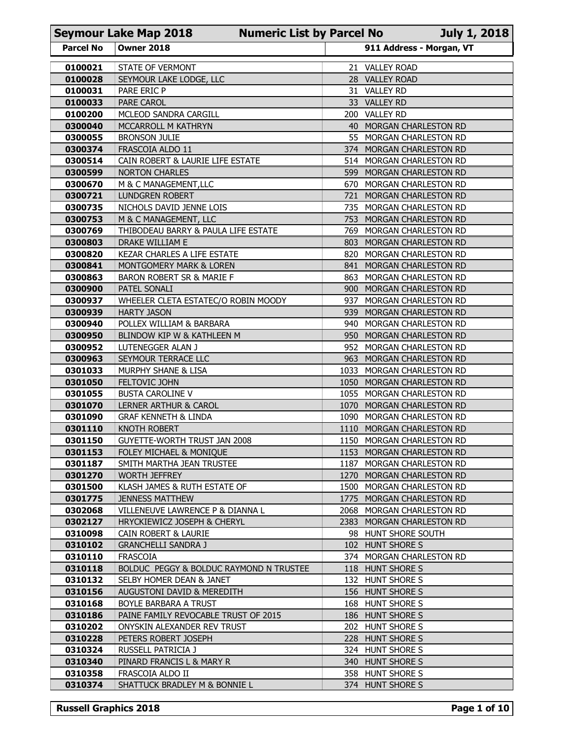|                    | <b>Seymour Lake Map 2018</b><br><b>Numeric List by Parcel No</b>  |      |                                                        | <b>July 1, 2018</b> |
|--------------------|-------------------------------------------------------------------|------|--------------------------------------------------------|---------------------|
| <b>Parcel No</b>   | <b>Owner 2018</b>                                                 |      | 911 Address - Morgan, VT                               |                     |
| 0100021            | STATE OF VERMONT                                                  |      | 21 VALLEY ROAD                                         |                     |
| 0100028            | SEYMOUR LAKE LODGE, LLC                                           |      | 28 VALLEY ROAD                                         |                     |
| 0100031<br>0100033 | PARE ERIC P<br><b>PARE CAROL</b>                                  |      | 31 VALLEY RD<br>33 VALLEY RD                           |                     |
| 0100200            | MCLEOD SANDRA CARGILL                                             |      | 200 VALLEY RD                                          |                     |
| 0300040            | MCCARROLL M KATHRYN                                               | 40   | MORGAN CHARLESTON RD                                   |                     |
| 0300055            | <b>BRONSON JULIE</b>                                              |      | 55 MORGAN CHARLESTON RD                                |                     |
| 0300374<br>0300514 | FRASCOIA ALDO 11<br>CAIN ROBERT & LAURIE LIFE ESTATE              |      | 374 MORGAN CHARLESTON RD<br>514 MORGAN CHARLESTON RD   |                     |
| 0300599            | <b>NORTON CHARLES</b>                                             | 599  | MORGAN CHARLESTON RD                                   |                     |
| 0300670            | M & C MANAGEMENT, LLC                                             | 670. | MORGAN CHARLESTON RD                                   |                     |
| 0300721            | <b>LUNDGREN ROBERT</b>                                            | 721  | MORGAN CHARLESTON RD                                   |                     |
| 0300735            | NICHOLS DAVID JENNE LOIS                                          | 735  | MORGAN CHARLESTON RD                                   |                     |
| 0300753<br>0300769 | M & C MANAGEMENT, LLC<br>THIBODEAU BARRY & PAULA LIFE ESTATE      | 753  | MORGAN CHARLESTON RD<br>769 MORGAN CHARLESTON RD       |                     |
| 0300803            | DRAKE WILLIAM E                                                   |      | 803 MORGAN CHARLESTON RD                               |                     |
| 0300820            | <b>KEZAR CHARLES A LIFE ESTATE</b>                                |      | 820 MORGAN CHARLESTON RD                               |                     |
| 0300841            | <b>MONTGOMERY MARK &amp; LOREN</b>                                |      | 841 MORGAN CHARLESTON RD                               |                     |
| 0300863<br>0300900 | BARON ROBERT SR & MARIE F<br>PATEL SONALI                         |      | 863 MORGAN CHARLESTON RD<br>900 MORGAN CHARLESTON RD   |                     |
| 0300937            | WHEELER CLETA ESTATEC/O ROBIN MOODY                               |      | 937 MORGAN CHARLESTON RD                               |                     |
| 0300939            | <b>HARTY JASON</b>                                                |      | 939 MORGAN CHARLESTON RD                               |                     |
| 0300940<br>0300950 | POLLEX WILLIAM & BARBARA                                          |      | 940 MORGAN CHARLESTON RD<br>950 MORGAN CHARLESTON RD   |                     |
| 0300952            | BLINDOW KIP W & KATHLEEN M<br>LUTENEGGER ALAN J                   |      | 952 MORGAN CHARLESTON RD                               |                     |
| 0300963            | SEYMOUR TERRACE LLC                                               |      | 963 MORGAN CHARLESTON RD                               |                     |
| 0301033            | MURPHY SHANE & LISA                                               |      | 1033 MORGAN CHARLESTON RD                              |                     |
| 0301050            | <b>FELTOVIC JOHN</b>                                              |      | 1050 MORGAN CHARLESTON RD                              |                     |
| 0301055<br>0301070 | <b>BUSTA CAROLINE V</b><br>LERNER ARTHUR & CAROL                  |      | 1055 MORGAN CHARLESTON RD<br>1070 MORGAN CHARLESTON RD |                     |
| 0301090            | <b>GRAF KENNETH &amp; LINDA</b>                                   |      | 1090 MORGAN CHARLESTON RD                              |                     |
| 0301110            | KNOTH ROBERT                                                      |      | 1110 MORGAN CHARLESTON RD                              |                     |
| 0301150            | GUYETTE-WORTH TRUST JAN 2008                                      |      | 1150 MORGAN CHARLESTON RD                              |                     |
| 0301153<br>0301187 | FOLEY MICHAEL & MONIQUE<br>SMITH MARTHA JEAN TRUSTEE              |      | 1153 MORGAN CHARLESTON RD<br>1187 MORGAN CHARLESTON RD |                     |
| 0301270            | WORTH JEFFREY                                                     |      | 1270 MORGAN CHARLESTON RD                              |                     |
| 0301500            | KLASH JAMES & RUTH ESTATE OF                                      |      | 1500 MORGAN CHARLESTON RD                              |                     |
| 0301775            | <b>JENNESS MATTHEW</b>                                            |      | 1775 MORGAN CHARLESTON RD                              |                     |
| 0302068<br>0302127 | VILLENEUVE LAWRENCE P & DIANNA L<br>HRYCKIEWICZ JOSEPH & CHERYL   |      | 2068 MORGAN CHARLESTON RD<br>2383 MORGAN CHARLESTON RD |                     |
| 0310098            | CAIN ROBERT & LAURIE                                              |      | 98 HUNT SHORE SOUTH                                    |                     |
| 0310102            | <b>GRANCHELLI SANDRA J</b>                                        |      | 102 HUNT SHORE S                                       |                     |
| 0310110            | FRASCOIA                                                          |      | 374 MORGAN CHARLESTON RD                               |                     |
| 0310118            | BOLDUC PEGGY & BOLDUC RAYMOND N TRUSTEE                           |      | 118 HUNT SHORE S                                       |                     |
| 0310132<br>0310156 | SELBY HOMER DEAN & JANET<br><b>AUGUSTONI DAVID &amp; MEREDITH</b> |      | 132 HUNT SHORE S<br>156 HUNT SHORE S                   |                     |
| 0310168            | BOYLE BARBARA A TRUST                                             |      | 168 HUNT SHORE S                                       |                     |
| 0310186            | PAINE FAMILY REVOCABLE TRUST OF 2015                              |      | 186 HUNT SHORE S                                       |                     |
| 0310202            | ONYSKIN ALEXANDER REV TRUST                                       |      | 202 HUNT SHORE S                                       |                     |
| 0310228<br>0310324 | PETERS ROBERT JOSEPH<br>RUSSELL PATRICIA J                        |      | 228 HUNT SHORE S<br>324 HUNT SHORE S                   |                     |
| 0310340            | PINARD FRANCIS L & MARY R                                         |      | 340 HUNT SHORE S                                       |                     |
| 0310358            | FRASCOIA ALDO II                                                  |      | 358 HUNT SHORE S                                       |                     |
| 0310374            | SHATTUCK BRADLEY M & BONNIE L                                     |      | 374 HUNT SHORE S                                       |                     |
|                    |                                                                   |      |                                                        |                     |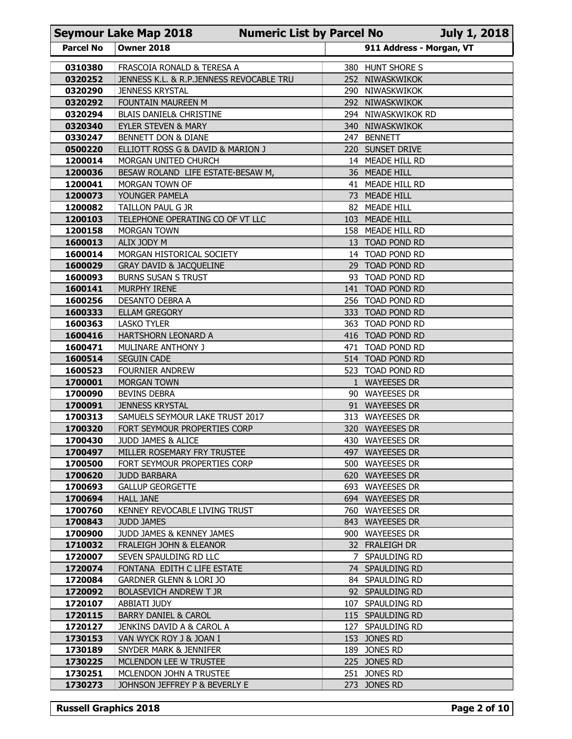|                    | <b>Seymour Lake Map 2018</b>                                      | <b>Numeric List by Parcel No</b> |     |                                      | <b>July 1, 2018</b> |
|--------------------|-------------------------------------------------------------------|----------------------------------|-----|--------------------------------------|---------------------|
| <b>Parcel No</b>   | <b>Owner 2018</b>                                                 |                                  |     | 911 Address - Morgan, VT             |                     |
| 0310380            | FRASCOIA RONALD & TERESA A                                        |                                  |     | 380 HUNT SHORE S                     |                     |
| 0320252            | JENNESS K.L. & R.P.JENNESS REVOCABLE TRU                          |                                  | 252 | NIWASKWIKOK                          |                     |
| 0320290<br>0320292 | <b>JENNESS KRYSTAL</b><br>FOUNTAIN MAUREEN M                      |                                  |     | 290 NIWASKWIKOK<br>292 NIWASKWIKOK   |                     |
| 0320294            | <b>BLAIS DANIEL&amp; CHRISTINE</b>                                |                                  |     | 294 NIWASKWIKOK RD                   |                     |
| 0320340            | EYLER STEVEN & MARY                                               |                                  |     | 340 NIWASKWIKOK                      |                     |
| 0330247            | BENNETT DON & DIANE                                               |                                  |     | 247 BENNETT                          |                     |
| 0500220            | ELLIOTT ROSS G & DAVID & MARION J                                 |                                  |     | 220 SUNSET DRIVE                     |                     |
| 1200014<br>1200036 | MORGAN UNITED CHURCH<br>BESAW ROLAND LIFE ESTATE-BESAW M,         |                                  |     | 14 MEADE HILL RD<br>36 MEADE HILL    |                     |
| 1200041            | MORGAN TOWN OF                                                    |                                  |     | 41 MEADE HILL RD                     |                     |
| 1200073            | YOUNGER PAMELA                                                    |                                  |     | 73 MEADE HILL                        |                     |
| 1200082            | TAILLON PAUL G JR                                                 |                                  |     | 82 MEADE HILL                        |                     |
| 1200103<br>1200158 | TELEPHONE OPERATING CO OF VT LLC<br><b>MORGAN TOWN</b>            |                                  |     | 103 MEADE HILL<br>158 MEADE HILL RD  |                     |
| 1600013            | ALIX JODY M                                                       |                                  |     | 13 TOAD POND RD                      |                     |
| 1600014            | MORGAN HISTORICAL SOCIETY                                         |                                  |     | 14 TOAD POND RD                      |                     |
| 1600029            | <b>GRAY DAVID &amp; JACQUELINE</b>                                |                                  |     | 29 TOAD POND RD                      |                     |
| 1600093<br>1600141 | <b>BURNS SUSAN S TRUST</b><br>MURPHY IRENE                        |                                  |     | 93 TOAD POND RD<br>141 TOAD POND RD  |                     |
| 1600256            | DESANTO DEBRA A                                                   |                                  |     | 256 TOAD POND RD                     |                     |
| 1600333            | <b>ELLAM GREGORY</b>                                              |                                  |     | 333 TOAD POND RD                     |                     |
| 1600363            | <b>LASKO TYLER</b>                                                |                                  |     | 363 TOAD POND RD                     |                     |
| 1600416<br>1600471 | HARTSHORN LEONARD A<br>MULINARE ANTHONY J                         |                                  |     | 416 TOAD POND RD<br>471 TOAD POND RD |                     |
| 1600514            | <b>SEGUIN CADE</b>                                                |                                  |     | 514 TOAD POND RD                     |                     |
| 1600523            | <b>FOURNIER ANDREW</b>                                            |                                  |     | 523 TOAD POND RD                     |                     |
| 1700001            | MORGAN TOWN                                                       |                                  |     | 1 WAYEESES DR                        |                     |
| 1700090<br>1700091 | <b>BEVINS DEBRA</b><br><b>JENNESS KRYSTAL</b>                     |                                  |     | 90 WAYEESES DR<br>91 WAYEESES DR     |                     |
| 1700313            | SAMUELS SEYMOUR LAKE TRUST 2017                                   |                                  |     | 313 WAYEESES DR                      |                     |
| 1700320            | FORT SEYMOUR PROPERTIES CORP                                      |                                  |     | 320 WAYEESES DR                      |                     |
| 1700430            | JUDD JAMES & ALICE                                                |                                  |     | 430 WAYEESES DR                      |                     |
| 1700497<br>1700500 | MILLER ROSEMARY FRY TRUSTEE<br>FORT SEYMOUR PROPERTIES CORP       |                                  |     | 497 WAYEESES DR<br>500 WAYEESES DR   |                     |
| 1700620            | <b>JUDD BARBARA</b>                                               |                                  |     | 620 WAYEESES DR                      |                     |
| 1700693            | <b>GALLUP GEORGETTE</b>                                           |                                  |     | 693 WAYEESES DR                      |                     |
| 1700694            | <b>HALL JANE</b>                                                  |                                  |     | 694 WAYEESES DR                      |                     |
| 1700760<br>1700843 | KENNEY REVOCABLE LIVING TRUST<br><b>JUDD JAMES</b>                |                                  |     | 760 WAYEESES DR<br>843 WAYEESES DR   |                     |
| 1700900            | JUDD JAMES & KENNEY JAMES                                         |                                  |     | 900 WAYEESES DR                      |                     |
| 1710032            | FRALEIGH JOHN & ELEANOR                                           |                                  |     | 32 FRALEIGH DR                       |                     |
| 1720007            | SEVEN SPAULDING RD LLC                                            |                                  |     | 7 SPAULDING RD                       |                     |
| 1720074<br>1720084 | FONTANA EDITH C LIFE ESTATE<br><b>GARDNER GLENN &amp; LORI JO</b> |                                  |     | 74 SPAULDING RD<br>84 SPAULDING RD   |                     |
| 1720092            | <b>BOLASEVICH ANDREW T JR</b>                                     |                                  |     | 92 SPAULDING RD                      |                     |
| 1720107            | ABBIATI JUDY                                                      |                                  |     | 107 SPAULDING RD                     |                     |
| 1720115            | <b>BARRY DANIEL &amp; CAROL</b>                                   |                                  |     | 115 SPAULDING RD                     |                     |
| 1720127            | JENKINS DAVID A & CAROL A                                         |                                  |     | 127 SPAULDING RD                     |                     |
| 1730153<br>1730189 | VAN WYCK ROY J & JOAN I<br>SNYDER MARK & JENNIFER                 |                                  |     | 153 JONES RD<br>189 JONES RD         |                     |
| 1730225            | MCLENDON LEE W TRUSTEE                                            |                                  |     | 225 JONES RD                         |                     |
| 1730251            | MCLENDON JOHN A TRUSTEE                                           |                                  |     | 251 JONES RD                         |                     |
| 1730273            | JOHNSON JEFFREY P & BEVERLY E                                     |                                  |     | 273 JONES RD                         |                     |
|                    | <b>Russell Graphics 2018</b>                                      |                                  |     |                                      |                     |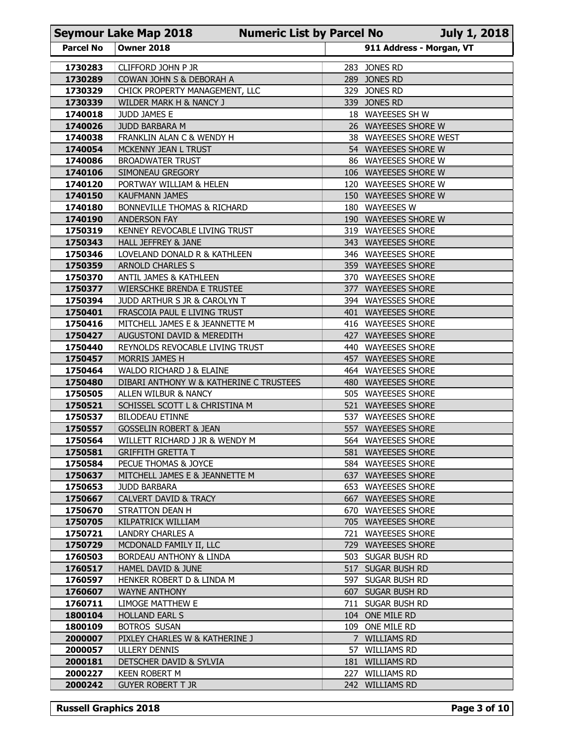| <b>Parcel No</b>   |                                                                                       |                                        |                                              |
|--------------------|---------------------------------------------------------------------------------------|----------------------------------------|----------------------------------------------|
|                    |                                                                                       |                                        |                                              |
|                    | <b>Seymour Lake Map 2018</b><br><b>Numeric List by Parcel No</b><br><b>Owner 2018</b> |                                        | July 1, 2018<br>911 Address - Morgan, VT     |
| 1730283            | CLIFFORD JOHN P JR                                                                    | 283 JONES RD                           |                                              |
| 1730289            | COWAN JOHN S & DEBORAH A                                                              | 289 JONES RD                           |                                              |
| 1730329            | CHICK PROPERTY MANAGEMENT, LLC                                                        | 329 JONES RD                           |                                              |
| 1730339            | WILDER MARK H & NANCY J                                                               | 339 JONES RD                           |                                              |
| 1740018<br>1740026 | JUDD JAMES E<br>JUDD BARBARA M                                                        |                                        | 18 WAYEESES SH W<br>26 WAYEESES SHORE W      |
| 1740038            | FRANKLIN ALAN C & WENDY H                                                             |                                        | 38 WAYEESES SHORE WEST                       |
| 1740054            | MCKENNY JEAN L TRUST                                                                  |                                        | 54 WAYEESES SHORE W                          |
| 1740086            | <b>BROADWATER TRUST</b>                                                               |                                        | 86 WAYEESES SHORE W                          |
| 1740106<br>1740120 | SIMONEAU GREGORY<br>PORTWAY WILLIAM & HELEN                                           |                                        | 106 WAYEESES SHORE W<br>120 WAYEESES SHORE W |
| 1740150            | <b>KAUFMANN JAMES</b>                                                                 |                                        | 150 WAYEESES SHORE W                         |
| 1740180            | <b>BONNEVILLE THOMAS &amp; RICHARD</b>                                                | 180 WAYEESES W                         |                                              |
| 1740190            | <b>ANDERSON FAY</b>                                                                   |                                        | 190 WAYEESES SHORE W                         |
| 1750319<br>1750343 | KENNEY REVOCABLE LIVING TRUST<br>HALL JEFFREY & JANE                                  |                                        | 319 WAYEESES SHORE<br>343 WAYEESES SHORE     |
| 1750346            | LOVELAND DONALD R & KATHLEEN                                                          |                                        | 346 WAYEESES SHORE                           |
| 1750359            | <b>ARNOLD CHARLES S</b>                                                               |                                        | 359 WAYEESES SHORE                           |
| 1750370            | ANTIL JAMES & KATHLEEN                                                                |                                        | 370 WAYEESES SHORE                           |
| 1750377<br>1750394 | WIERSCHKE BRENDA E TRUSTEE<br>JUDD ARTHUR S JR & CAROLYN T                            |                                        | 377 WAYEESES SHORE<br>394 WAYESSES SHORE     |
| 1750401            | FRASCOIA PAUL E LIVING TRUST                                                          |                                        | 401 WAYEESES SHORE                           |
| 1750416            | MITCHELL JAMES E & JEANNETTE M                                                        |                                        | 416 WAYEESES SHORE                           |
| 1750427            | AUGUSTONI DAVID & MEREDITH                                                            |                                        | 427 WAYEESES SHORE                           |
| 1750440            | REYNOLDS REVOCABLE LIVING TRUST                                                       |                                        | 440 WAYEESES SHORE                           |
| 1750457<br>1750464 | MORRIS JAMES H<br>WALDO RICHARD J & ELAINE                                            |                                        | 457 WAYEESES SHORE<br>464 WAYEESES SHORE     |
| 1750480            | DIBARI ANTHONY W & KATHERINE C TRUSTEES                                               |                                        | 480 WAYEESES SHORE                           |
| 1750505            | ALLEN WILBUR & NANCY                                                                  |                                        | 505 WAYEESES SHORE                           |
| 1750521            | SCHISSEL SCOTT L & CHRISTINA M                                                        |                                        | 521 WAYEESES SHORE                           |
| 1750537<br>1750557 | <b>BILODEAU ETINNE</b><br><b>GOSSELIN ROBERT &amp; JEAN</b>                           |                                        | 537 WAYEESES SHORE<br>557 WAYEESES SHORE     |
| 1750564            | WILLETT RICHARD J JR & WENDY M                                                        |                                        | 564 WAYEESES SHORE                           |
| 1750581            | <b>GRIFFITH GRETTA T</b>                                                              |                                        | 581 WAYEESES SHORE                           |
| 1750584            | PECUE THOMAS & JOYCE                                                                  |                                        | 584 WAYEESES SHORE                           |
| 1750637            | MITCHELL JAMES E & JEANNETTE M                                                        |                                        | 637 WAYEESES SHORE                           |
| 1750653<br>1750667 | <b>JUDD BARBARA</b><br>CALVERT DAVID & TRACY                                          |                                        | 653 WAYEESES SHORE<br>667 WAYEESES SHORE     |
| 1750670            | <b>STRATTON DEAN H</b>                                                                |                                        | 670 WAYEESES SHORE                           |
| 1750705            | KILPATRICK WILLIAM                                                                    |                                        | 705 WAYEESES SHORE                           |
| 1750721            | LANDRY CHARLES A                                                                      |                                        | 721 WAYEESES SHORE                           |
| 1750729            | MCDONALD FAMILY II, LLC                                                               |                                        | 729 WAYEESES SHORE                           |
| 1760503            | BORDEAU ANTHONY & LINDA                                                               | 503 SUGAR BUSH RD                      |                                              |
| 1760517<br>1760597 | HAMEL DAVID & JUNE<br>HENKER ROBERT D & LINDA M                                       | 517 SUGAR BUSH RD<br>597 SUGAR BUSH RD |                                              |
| 1760607            | <b>WAYNE ANTHONY</b>                                                                  | 607 SUGAR BUSH RD                      |                                              |
| 1760711            | LIMOGE MATTHEW E                                                                      | 711 SUGAR BUSH RD                      |                                              |
| 1800104            | <b>HOLLAND EARL S</b>                                                                 | 104 ONE MILE RD                        |                                              |
| 1800109            | <b>BOTROS SUSAN</b>                                                                   | 109 ONE MILE RD                        |                                              |
| 2000007<br>2000057 | PIXLEY CHARLES W & KATHERINE J<br><b>ULLERY DENNIS</b>                                | 7 WILLIAMS RD<br>57 WILLIAMS RD        |                                              |
| 2000181            | DETSCHER DAVID & SYLVIA                                                               | 181 WILLIAMS RD                        |                                              |
|                    | <b>KEEN ROBERT M</b>                                                                  | 227 WILLIAMS RD                        |                                              |
| 2000227            |                                                                                       |                                        |                                              |
| 2000242            | <b>GUYER ROBERT T JR</b>                                                              | 242 WILLIAMS RD                        |                                              |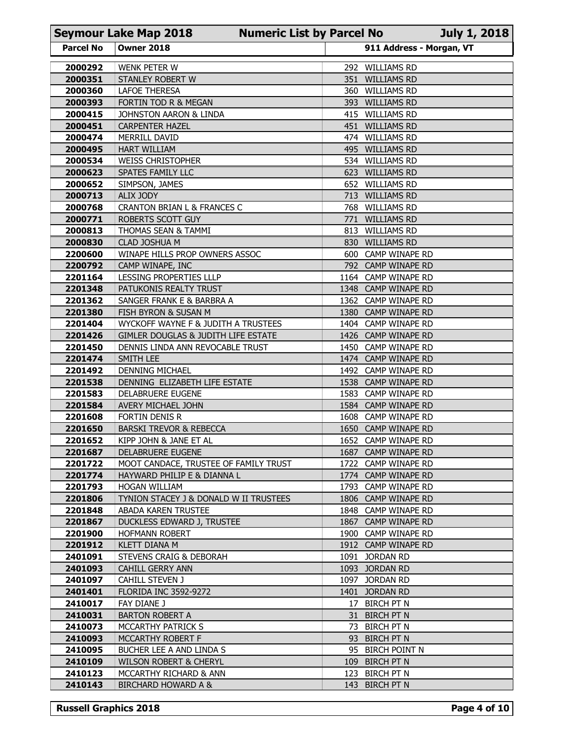|                    | <b>Seymour Lake Map 2018</b>                         | <b>Numeric List by Parcel No</b> |     |                                            | <b>July 1, 2018</b> |
|--------------------|------------------------------------------------------|----------------------------------|-----|--------------------------------------------|---------------------|
| <b>Parcel No</b>   | <b>Owner 2018</b>                                    |                                  |     | 911 Address - Morgan, VT                   |                     |
| 2000292            | WENK PETER W                                         |                                  |     | 292 WILLIAMS RD                            |                     |
| 2000351            | STANLEY ROBERT W                                     |                                  |     | 351 WILLIAMS RD                            |                     |
| 2000360<br>2000393 | LAFOE THERESA<br>FORTIN TOD R & MEGAN                |                                  | 360 | <b>WILLIAMS RD</b><br>393 WILLIAMS RD      |                     |
| 2000415            | JOHNSTON AARON & LINDA                               |                                  |     | 415 WILLIAMS RD                            |                     |
| 2000451            | <b>CARPENTER HAZEL</b>                               |                                  |     | 451 WILLIAMS RD                            |                     |
| 2000474<br>2000495 | MERRILL DAVID<br><b>HART WILLIAM</b>                 |                                  | 495 | 474 WILLIAMS RD<br><b>WILLIAMS RD</b>      |                     |
| 2000534            | <b>WEISS CHRISTOPHER</b>                             |                                  |     | 534 WILLIAMS RD                            |                     |
| 2000623            | SPATES FAMILY LLC                                    |                                  | 623 | <b>WILLIAMS RD</b>                         |                     |
| 2000652            | SIMPSON, JAMES                                       |                                  |     | 652 WILLIAMS RD                            |                     |
| 2000713<br>2000768 | ALIX JODY<br>CRANTON BRIAN L & FRANCES C             |                                  |     | 713 WILLIAMS RD<br>768 WILLIAMS RD         |                     |
| 2000771            | ROBERTS SCOTT GUY                                    |                                  | 771 | <b>WILLIAMS RD</b>                         |                     |
| 2000813            | THOMAS SEAN & TAMMI                                  |                                  |     | 813 WILLIAMS RD                            |                     |
| 2000830            | CLAD JOSHUA M                                        |                                  |     | 830 WILLIAMS RD                            |                     |
| 2200600<br>2200792 | WINAPE HILLS PROP OWNERS ASSOC<br>CAMP WINAPE, INC   |                                  |     | 600 CAMP WINAPE RD<br>792 CAMP WINAPE RD   |                     |
| 2201164            | LESSING PROPERTIES LLLP                              |                                  |     | 1164 CAMP WINAPE RD                        |                     |
| 2201348            | PATUKONIS REALTY TRUST                               |                                  |     | 1348 CAMP WINAPE RD                        |                     |
| 2201362<br>2201380 | SANGER FRANK E & BARBRA A<br>FISH BYRON & SUSAN M    |                                  |     | 1362 CAMP WINAPE RD<br>1380 CAMP WINAPE RD |                     |
| 2201404            | WYCKOFF WAYNE F & JUDITH A TRUSTEES                  |                                  |     | 1404 CAMP WINAPE RD                        |                     |
| 2201426            | GIMLER DOUGLAS & JUDITH LIFE ESTATE                  |                                  |     | 1426 CAMP WINAPE RD                        |                     |
| 2201450            | DENNIS LINDA ANN REVOCABLE TRUST                     |                                  |     | 1450 CAMP WINAPE RD                        |                     |
| 2201474<br>2201492 | SMITH LEE<br><b>DENNING MICHAEL</b>                  |                                  |     | 1474 CAMP WINAPE RD<br>1492 CAMP WINAPE RD |                     |
| 2201538            | DENNING ELIZABETH LIFE ESTATE                        |                                  |     | 1538 CAMP WINAPE RD                        |                     |
| 2201583            | DELABRUERE EUGENE                                    |                                  |     | 1583 CAMP WINAPE RD                        |                     |
| 2201584            | AVERY MICHAEL JOHN                                   |                                  |     | 1584 CAMP WINAPE RD                        |                     |
| 2201608<br>2201650 | FORTIN DENIS R<br><b>BARSKI TREVOR &amp; REBECCA</b> |                                  |     | 1608 CAMP WINAPE RD<br>1650 CAMP WINAPE RD |                     |
| 2201652            | KIPP JOHN & JANE ET AL                               |                                  |     | 1652 CAMP WINAPE RD                        |                     |
| 2201687            | DELABRUERE EUGENE                                    |                                  |     | 1687 CAMP WINAPE RD                        |                     |
| 2201722            | MOOT CANDACE, TRUSTEE OF FAMILY TRUST                |                                  |     | 1722 CAMP WINAPE RD                        |                     |
| 2201774<br>2201793 | HAYWARD PHILIP E & DIANNA L<br>HOGAN WILLIAM         |                                  |     | 1774 CAMP WINAPE RD<br>1793 CAMP WINAPE RD |                     |
| 2201806            | TYNION STACEY J & DONALD W II TRUSTEES               |                                  |     | 1806 CAMP WINAPE RD                        |                     |
| 2201848            | ABADA KAREN TRUSTEE                                  |                                  |     | 1848 CAMP WINAPE RD                        |                     |
| 2201867            | DUCKLESS EDWARD J, TRUSTEE                           |                                  |     | 1867 CAMP WINAPE RD                        |                     |
| 2201900<br>2201912 | <b>HOFMANN ROBERT</b><br><b>KLETT DIANA M</b>        |                                  |     | 1900 CAMP WINAPE RD<br>1912 CAMP WINAPE RD |                     |
| 2401091            | STEVENS CRAIG & DEBORAH                              |                                  |     | 1091 JORDAN RD                             |                     |
| 2401093            | <b>CAHILL GERRY ANN</b>                              |                                  |     | 1093 JORDAN RD                             |                     |
| 2401097            | CAHILL STEVEN J                                      |                                  |     | 1097 JORDAN RD<br>1401 JORDAN RD           |                     |
| 2401401<br>2410017 | <b>FLORIDA INC 3592-9272</b><br>FAY DIANE J          |                                  |     | 17 BIRCH PT N                              |                     |
| 2410031            | <b>BARTON ROBERT A</b>                               |                                  |     | 31 BIRCH PT N                              |                     |
| 2410073            | MCCARTHY PATRICK S                                   |                                  |     | 73 BIRCH PT N                              |                     |
| 2410093<br>2410095 | MCCARTHY ROBERT F<br>BUCHER LEE A AND LINDA S        |                                  |     | 93 BIRCH PT N<br>95 BIRCH POINT N          |                     |
| 2410109            | <b>WILSON ROBERT &amp; CHERYL</b>                    |                                  |     | 109 BIRCH PT N                             |                     |
| 2410123            | MCCARTHY RICHARD & ANN                               |                                  | 123 | <b>BIRCH PT N</b>                          |                     |
| 2410143            | <b>BIRCHARD HOWARD A &amp;</b>                       |                                  |     | 143 BIRCH PT N                             |                     |
|                    |                                                      |                                  |     |                                            |                     |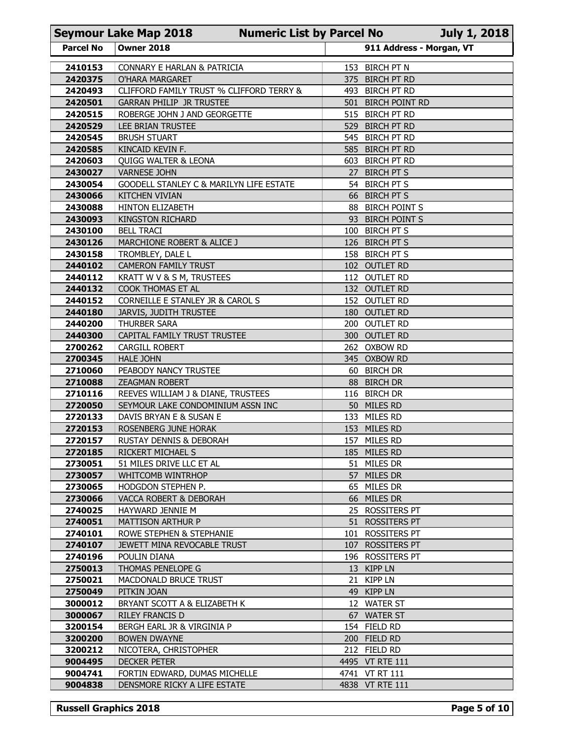|                    | <b>Seymour Lake Map 2018</b>                                            | <b>Numeric List by Parcel No</b> |    |                                       | <b>July 1, 2018</b> |
|--------------------|-------------------------------------------------------------------------|----------------------------------|----|---------------------------------------|---------------------|
| <b>Parcel No</b>   | <b>Owner 2018</b>                                                       |                                  |    | 911 Address - Morgan, VT              |                     |
| 2410153            | CONNARY E HARLAN & PATRICIA                                             |                                  |    | 153 BIRCH PT N                        |                     |
| 2420375            | O'HARA MARGARET                                                         |                                  |    | 375 BIRCH PT RD                       |                     |
| 2420493            | CLIFFORD FAMILY TRUST % CLIFFORD TERRY &                                |                                  |    | 493 BIRCH PT RD                       |                     |
| 2420501<br>2420515 | <b>GARRAN PHILIP JR TRUSTEE</b><br>ROBERGE JOHN J AND GEORGETTE         |                                  |    | 501 BIRCH POINT RD<br>515 BIRCH PT RD |                     |
| 2420529            | LEE BRIAN TRUSTEE                                                       |                                  |    | 529 BIRCH PT RD                       |                     |
| 2420545            | <b>BRUSH STUART</b>                                                     |                                  |    | 545 BIRCH PT RD                       |                     |
| 2420585<br>2420603 | KINCAID KEVIN F.                                                        |                                  |    | 585 BIRCH PT RD<br>603 BIRCH PT RD    |                     |
| 2430027            | <b>QUIGG WALTER &amp; LEONA</b><br><b>VARNESE JOHN</b>                  |                                  | 27 | <b>BIRCH PT S</b>                     |                     |
| 2430054            | GOODELL STANLEY C & MARILYN LIFE ESTATE                                 |                                  |    | 54 BIRCH PT S                         |                     |
| 2430066            | <b>KITCHEN VIVIAN</b>                                                   |                                  |    | 66 BIRCH PT S                         |                     |
| 2430088            | HINTON ELIZABETH                                                        |                                  |    | 88 BIRCH POINT S                      |                     |
| 2430093<br>2430100 | <b>KINGSTON RICHARD</b><br><b>BELL TRACI</b>                            |                                  |    | 93 BIRCH POINT S<br>100 BIRCH PT S    |                     |
| 2430126            | MARCHIONE ROBERT & ALICE J                                              |                                  |    | 126 BIRCH PT S                        |                     |
| 2430158            | TROMBLEY, DALE L                                                        |                                  |    | 158 BIRCH PT S                        |                     |
| 2440102            | <b>CAMERON FAMILY TRUST</b>                                             |                                  |    | 102 OUTLET RD                         |                     |
| 2440112<br>2440132 | KRATT W V & S M, TRUSTEES<br>COOK THOMAS ET AL                          |                                  |    | 112 OUTLET RD<br>132 OUTLET RD        |                     |
| 2440152            | CORNEILLE E STANLEY JR & CAROL S                                        |                                  |    | 152 OUTLET RD                         |                     |
| 2440180            | JARVIS, JUDITH TRUSTEE                                                  |                                  |    | 180 OUTLET RD                         |                     |
| 2440200            | THURBER SARA                                                            |                                  |    | 200 OUTLET RD<br>300 OUTLET RD        |                     |
| 2440300<br>2700262 | CAPITAL FAMILY TRUST TRUSTEE<br>CARGILL ROBERT                          |                                  |    | 262 OXBOW RD                          |                     |
| 2700345            | <b>HALE JOHN</b>                                                        |                                  |    | 345 OXBOW RD                          |                     |
| 2710060            | PEABODY NANCY TRUSTEE                                                   |                                  |    | 60 BIRCH DR                           |                     |
| 2710088            | <b>ZEAGMAN ROBERT</b>                                                   |                                  |    | 88 BIRCH DR                           |                     |
| 2710116<br>2720050 | REEVES WILLIAM J & DIANE, TRUSTEES<br>SEYMOUR LAKE CONDOMINIUM ASSN INC |                                  |    | 116 BIRCH DR<br>50 MILES RD           |                     |
| 2720133            | DAVIS BRYAN E & SUSAN E                                                 |                                  |    | 133 MILES RD                          |                     |
| 2720153            | ROSENBERG JUNE HORAK                                                    |                                  |    | 153 MILES RD                          |                     |
| 2720157            | <b>RUSTAY DENNIS &amp; DEBORAH</b>                                      |                                  |    | 157 MILES RD                          |                     |
| 2720185<br>2730051 | RICKERT MICHAEL S<br>51 MILES DRIVE LLC ET AL                           |                                  |    | 185 MILES RD<br>51 MILES DR           |                     |
| 2730057            | WHITCOMB WINTRHOP                                                       |                                  |    | 57 MILES DR                           |                     |
| 2730065            | HODGDON STEPHEN P.                                                      |                                  |    | 65 MILES DR                           |                     |
| 2730066            | VACCA ROBERT & DEBORAH                                                  |                                  |    | 66 MILES DR                           |                     |
| 2740025<br>2740051 | HAYWARD JENNIE M<br>MATTISON ARTHUR P                                   |                                  |    | 25 ROSSITERS PT<br>51 ROSSITERS PT    |                     |
| 2740101            | ROWE STEPHEN & STEPHANIE                                                |                                  |    | 101 ROSSITERS PT                      |                     |
| 2740107            | JEWETT MINA REVOCABLE TRUST                                             |                                  |    | 107 ROSSITERS PT                      |                     |
| 2740196            | POULIN DIANA                                                            |                                  |    | 196 ROSSITERS PT                      |                     |
| 2750013<br>2750021 | THOMAS PENELOPE G<br>MACDONALD BRUCE TRUST                              |                                  |    | 13 KIPP LN<br>21 KIPP LN              |                     |
| 2750049            | PITKIN JOAN                                                             |                                  |    | 49 KIPP LN                            |                     |
| 3000012            | BRYANT SCOTT A & ELIZABETH K                                            |                                  |    | 12 WATER ST                           |                     |
| 3000067            | RILEY FRANCIS D                                                         |                                  |    | 67 WATER ST                           |                     |
| 3200154            | BERGH EARL JR & VIRGINIA P                                              |                                  |    | 154 FIELD RD                          |                     |
| 3200200<br>3200212 | <b>BOWEN DWAYNE</b><br>NICOTERA, CHRISTOPHER                            |                                  |    | 200 FIELD RD<br>212 FIELD RD          |                     |
| 9004495            | <b>DECKER PETER</b>                                                     |                                  |    | 4495 VT RTE 111                       |                     |
| 9004741            | FORTIN EDWARD, DUMAS MICHELLE                                           |                                  |    | 4741 VT RT 111                        |                     |
| 9004838            | DENSMORE RICKY A LIFE ESTATE                                            |                                  |    | 4838 VT RTE 111                       |                     |
|                    |                                                                         |                                  |    |                                       |                     |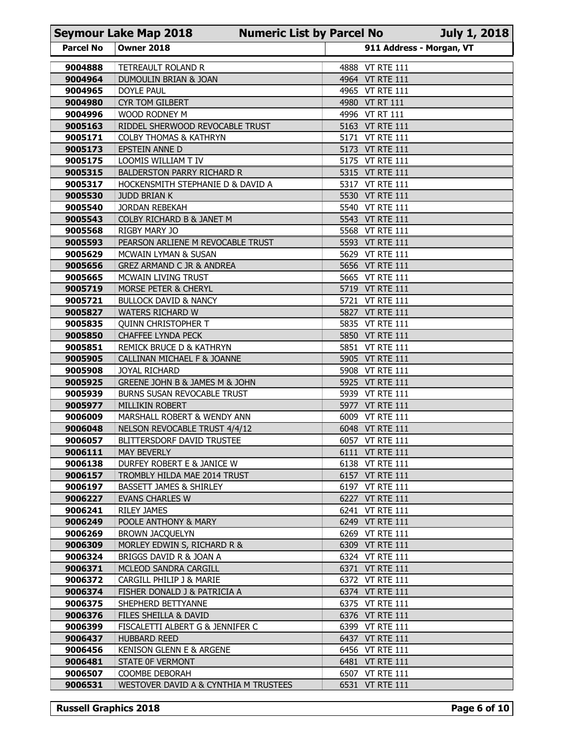| 911 Address - Morgan, VT<br><b>Parcel No</b><br><b>Owner 2018</b><br>TETREAULT ROLAND R<br>4888 VT RTE 111<br>9004888<br>4964 VT RTE 111<br>9004964<br>DUMOULIN BRIAN & JOAN<br>4965 VT RTE 111<br>9004965<br>DOYLE PAUL<br>9004980<br><b>CYR TOM GILBERT</b><br>4980 VT RT 111<br>9004996<br>4996 VT RT 111<br>WOOD RODNEY M<br>9005163<br>RIDDEL SHERWOOD REVOCABLE TRUST<br>5163 VT RTE 111<br>9005171<br>5171 VT RTE 111<br><b>COLBY THOMAS &amp; KATHRYN</b><br>5173 VT RTE 111<br>9005173<br>EPSTEIN ANNE D<br>9005175<br>LOOMIS WILLIAM T IV<br>5175 VT RTE 111<br>9005315<br>5315 VT RTE 111<br><b>BALDERSTON PARRY RICHARD R</b><br>9005317<br>HOCKENSMITH STEPHANIE D & DAVID A<br>5317 VT RTE 111<br>9005530<br><b>JUDD BRIAN K</b><br>5530 VT RTE 111<br>5540 VT RTE 111<br>9005540<br><b>JORDAN REBEKAH</b><br>9005543<br>COLBY RICHARD B & JANET M<br>5543 VT RTE 111<br>9005568<br>RIGBY MARY JO<br>5568 VT RTE 111<br>PEARSON ARLIENE M REVOCABLE TRUST<br>9005593<br>5593 VT RTE 111<br>9005629<br>5629 VT RTE 111<br>MCWAIN LYMAN & SUSAN<br>9005656<br>5656 VT RTE 111<br>GREZ ARMAND C JR & ANDREA<br>9005665<br>MCWAIN LIVING TRUST<br>5665 VT RTE 111<br>9005719<br>MORSE PETER & CHERYL<br>5719 VT RTE 111<br>9005721<br>5721 VT RTE 111<br><b>BULLOCK DAVID &amp; NANCY</b><br>9005827<br>5827 VT RTE 111<br><b>WATERS RICHARD W</b><br>9005835<br><b>QUINN CHRISTOPHER T</b><br>5835 VT RTE 111<br>9005850<br><b>CHAFFEE LYNDA PECK</b><br>5850 VT RTE 111<br>9005851<br>REMICK BRUCE D & KATHRYN<br>5851 VT RTE 111<br>9005905<br>CALLINAN MICHAEL F & JOANNE<br>5905 VT RTE 111<br>9005908<br>JOYAL RICHARD<br>5908 VT RTE 111<br>9005925<br>GREENE JOHN B & JAMES M & JOHN<br>5925 VT RTE 111<br>9005939<br><b>BURNS SUSAN REVOCABLE TRUST</b><br>5939 VT RTE 111<br>9005977<br>5977 VT RTE 111<br>MILLIKIN ROBERT<br>9006009<br>MARSHALL ROBERT & WENDY ANN<br>6009 VT RTE 111<br>9006048<br>NELSON REVOCABLE TRUST 4/4/12<br>6048 VT RTE 111<br>9006057<br>BLITTERSDORF DAVID TRUSTEE<br>6057 VT RTE 111<br>9006111<br>MAY BEVERLY<br>6111 VT RTE 111<br>9006138<br>DURFEY ROBERT E & JANICE W<br>6138 VT RTE 111<br>9006157<br>TROMBLY HILDA MAE 2014 TRUST<br>6157 VT RTE 111<br>9006197<br><b>BASSETT JAMES &amp; SHIRLEY</b><br>6197 VT RTE 111<br>9006227<br>EVANS CHARLES W<br>6227 VT RTE 111<br>9006241<br><b>RILEY JAMES</b><br>6241 VT RTE 111<br>9006249<br>POOLE ANTHONY & MARY<br>6249 VT RTE 111<br>9006269<br><b>BROWN JACQUELYN</b><br>6269 VT RTE 111<br>9006309<br>6309 VT RTE 111<br>MORLEY EDWIN S, RICHARD R &<br>9006324<br>BRIGGS DAVID R & JOAN A<br>6324 VT RTE 111<br>9006371<br>6371 VT RTE 111<br>MCLEOD SANDRA CARGILL<br>9006372<br>CARGILL PHILIP J & MARIE<br>6372 VT RTE 111<br>9006374<br>6374 VT RTE 111<br>FISHER DONALD J & PATRICIA A<br>9006375<br>SHEPHERD BETTYANNE<br>6375 VT RTE 111<br>9006376<br>6376 VT RTE 111 | <b>Seymour Lake Map 2018</b> |
|---------------------------------------------------------------------------------------------------------------------------------------------------------------------------------------------------------------------------------------------------------------------------------------------------------------------------------------------------------------------------------------------------------------------------------------------------------------------------------------------------------------------------------------------------------------------------------------------------------------------------------------------------------------------------------------------------------------------------------------------------------------------------------------------------------------------------------------------------------------------------------------------------------------------------------------------------------------------------------------------------------------------------------------------------------------------------------------------------------------------------------------------------------------------------------------------------------------------------------------------------------------------------------------------------------------------------------------------------------------------------------------------------------------------------------------------------------------------------------------------------------------------------------------------------------------------------------------------------------------------------------------------------------------------------------------------------------------------------------------------------------------------------------------------------------------------------------------------------------------------------------------------------------------------------------------------------------------------------------------------------------------------------------------------------------------------------------------------------------------------------------------------------------------------------------------------------------------------------------------------------------------------------------------------------------------------------------------------------------------------------------------------------------------------------------------------------------------------------------------------------------------------------------------------------------------------------------------------------------------------------------------------------------------------------------------------------------------------------------------------------------------------------------------------------------------------------------------------------------------------------------------------|------------------------------|
|                                                                                                                                                                                                                                                                                                                                                                                                                                                                                                                                                                                                                                                                                                                                                                                                                                                                                                                                                                                                                                                                                                                                                                                                                                                                                                                                                                                                                                                                                                                                                                                                                                                                                                                                                                                                                                                                                                                                                                                                                                                                                                                                                                                                                                                                                                                                                                                                                                                                                                                                                                                                                                                                                                                                                                                                                                                                                             |                              |
|                                                                                                                                                                                                                                                                                                                                                                                                                                                                                                                                                                                                                                                                                                                                                                                                                                                                                                                                                                                                                                                                                                                                                                                                                                                                                                                                                                                                                                                                                                                                                                                                                                                                                                                                                                                                                                                                                                                                                                                                                                                                                                                                                                                                                                                                                                                                                                                                                                                                                                                                                                                                                                                                                                                                                                                                                                                                                             |                              |
|                                                                                                                                                                                                                                                                                                                                                                                                                                                                                                                                                                                                                                                                                                                                                                                                                                                                                                                                                                                                                                                                                                                                                                                                                                                                                                                                                                                                                                                                                                                                                                                                                                                                                                                                                                                                                                                                                                                                                                                                                                                                                                                                                                                                                                                                                                                                                                                                                                                                                                                                                                                                                                                                                                                                                                                                                                                                                             |                              |
|                                                                                                                                                                                                                                                                                                                                                                                                                                                                                                                                                                                                                                                                                                                                                                                                                                                                                                                                                                                                                                                                                                                                                                                                                                                                                                                                                                                                                                                                                                                                                                                                                                                                                                                                                                                                                                                                                                                                                                                                                                                                                                                                                                                                                                                                                                                                                                                                                                                                                                                                                                                                                                                                                                                                                                                                                                                                                             |                              |
|                                                                                                                                                                                                                                                                                                                                                                                                                                                                                                                                                                                                                                                                                                                                                                                                                                                                                                                                                                                                                                                                                                                                                                                                                                                                                                                                                                                                                                                                                                                                                                                                                                                                                                                                                                                                                                                                                                                                                                                                                                                                                                                                                                                                                                                                                                                                                                                                                                                                                                                                                                                                                                                                                                                                                                                                                                                                                             |                              |
|                                                                                                                                                                                                                                                                                                                                                                                                                                                                                                                                                                                                                                                                                                                                                                                                                                                                                                                                                                                                                                                                                                                                                                                                                                                                                                                                                                                                                                                                                                                                                                                                                                                                                                                                                                                                                                                                                                                                                                                                                                                                                                                                                                                                                                                                                                                                                                                                                                                                                                                                                                                                                                                                                                                                                                                                                                                                                             |                              |
|                                                                                                                                                                                                                                                                                                                                                                                                                                                                                                                                                                                                                                                                                                                                                                                                                                                                                                                                                                                                                                                                                                                                                                                                                                                                                                                                                                                                                                                                                                                                                                                                                                                                                                                                                                                                                                                                                                                                                                                                                                                                                                                                                                                                                                                                                                                                                                                                                                                                                                                                                                                                                                                                                                                                                                                                                                                                                             |                              |
|                                                                                                                                                                                                                                                                                                                                                                                                                                                                                                                                                                                                                                                                                                                                                                                                                                                                                                                                                                                                                                                                                                                                                                                                                                                                                                                                                                                                                                                                                                                                                                                                                                                                                                                                                                                                                                                                                                                                                                                                                                                                                                                                                                                                                                                                                                                                                                                                                                                                                                                                                                                                                                                                                                                                                                                                                                                                                             |                              |
|                                                                                                                                                                                                                                                                                                                                                                                                                                                                                                                                                                                                                                                                                                                                                                                                                                                                                                                                                                                                                                                                                                                                                                                                                                                                                                                                                                                                                                                                                                                                                                                                                                                                                                                                                                                                                                                                                                                                                                                                                                                                                                                                                                                                                                                                                                                                                                                                                                                                                                                                                                                                                                                                                                                                                                                                                                                                                             |                              |
|                                                                                                                                                                                                                                                                                                                                                                                                                                                                                                                                                                                                                                                                                                                                                                                                                                                                                                                                                                                                                                                                                                                                                                                                                                                                                                                                                                                                                                                                                                                                                                                                                                                                                                                                                                                                                                                                                                                                                                                                                                                                                                                                                                                                                                                                                                                                                                                                                                                                                                                                                                                                                                                                                                                                                                                                                                                                                             |                              |
|                                                                                                                                                                                                                                                                                                                                                                                                                                                                                                                                                                                                                                                                                                                                                                                                                                                                                                                                                                                                                                                                                                                                                                                                                                                                                                                                                                                                                                                                                                                                                                                                                                                                                                                                                                                                                                                                                                                                                                                                                                                                                                                                                                                                                                                                                                                                                                                                                                                                                                                                                                                                                                                                                                                                                                                                                                                                                             |                              |
|                                                                                                                                                                                                                                                                                                                                                                                                                                                                                                                                                                                                                                                                                                                                                                                                                                                                                                                                                                                                                                                                                                                                                                                                                                                                                                                                                                                                                                                                                                                                                                                                                                                                                                                                                                                                                                                                                                                                                                                                                                                                                                                                                                                                                                                                                                                                                                                                                                                                                                                                                                                                                                                                                                                                                                                                                                                                                             |                              |
|                                                                                                                                                                                                                                                                                                                                                                                                                                                                                                                                                                                                                                                                                                                                                                                                                                                                                                                                                                                                                                                                                                                                                                                                                                                                                                                                                                                                                                                                                                                                                                                                                                                                                                                                                                                                                                                                                                                                                                                                                                                                                                                                                                                                                                                                                                                                                                                                                                                                                                                                                                                                                                                                                                                                                                                                                                                                                             |                              |
|                                                                                                                                                                                                                                                                                                                                                                                                                                                                                                                                                                                                                                                                                                                                                                                                                                                                                                                                                                                                                                                                                                                                                                                                                                                                                                                                                                                                                                                                                                                                                                                                                                                                                                                                                                                                                                                                                                                                                                                                                                                                                                                                                                                                                                                                                                                                                                                                                                                                                                                                                                                                                                                                                                                                                                                                                                                                                             |                              |
|                                                                                                                                                                                                                                                                                                                                                                                                                                                                                                                                                                                                                                                                                                                                                                                                                                                                                                                                                                                                                                                                                                                                                                                                                                                                                                                                                                                                                                                                                                                                                                                                                                                                                                                                                                                                                                                                                                                                                                                                                                                                                                                                                                                                                                                                                                                                                                                                                                                                                                                                                                                                                                                                                                                                                                                                                                                                                             |                              |
|                                                                                                                                                                                                                                                                                                                                                                                                                                                                                                                                                                                                                                                                                                                                                                                                                                                                                                                                                                                                                                                                                                                                                                                                                                                                                                                                                                                                                                                                                                                                                                                                                                                                                                                                                                                                                                                                                                                                                                                                                                                                                                                                                                                                                                                                                                                                                                                                                                                                                                                                                                                                                                                                                                                                                                                                                                                                                             |                              |
|                                                                                                                                                                                                                                                                                                                                                                                                                                                                                                                                                                                                                                                                                                                                                                                                                                                                                                                                                                                                                                                                                                                                                                                                                                                                                                                                                                                                                                                                                                                                                                                                                                                                                                                                                                                                                                                                                                                                                                                                                                                                                                                                                                                                                                                                                                                                                                                                                                                                                                                                                                                                                                                                                                                                                                                                                                                                                             |                              |
|                                                                                                                                                                                                                                                                                                                                                                                                                                                                                                                                                                                                                                                                                                                                                                                                                                                                                                                                                                                                                                                                                                                                                                                                                                                                                                                                                                                                                                                                                                                                                                                                                                                                                                                                                                                                                                                                                                                                                                                                                                                                                                                                                                                                                                                                                                                                                                                                                                                                                                                                                                                                                                                                                                                                                                                                                                                                                             |                              |
|                                                                                                                                                                                                                                                                                                                                                                                                                                                                                                                                                                                                                                                                                                                                                                                                                                                                                                                                                                                                                                                                                                                                                                                                                                                                                                                                                                                                                                                                                                                                                                                                                                                                                                                                                                                                                                                                                                                                                                                                                                                                                                                                                                                                                                                                                                                                                                                                                                                                                                                                                                                                                                                                                                                                                                                                                                                                                             |                              |
|                                                                                                                                                                                                                                                                                                                                                                                                                                                                                                                                                                                                                                                                                                                                                                                                                                                                                                                                                                                                                                                                                                                                                                                                                                                                                                                                                                                                                                                                                                                                                                                                                                                                                                                                                                                                                                                                                                                                                                                                                                                                                                                                                                                                                                                                                                                                                                                                                                                                                                                                                                                                                                                                                                                                                                                                                                                                                             |                              |
|                                                                                                                                                                                                                                                                                                                                                                                                                                                                                                                                                                                                                                                                                                                                                                                                                                                                                                                                                                                                                                                                                                                                                                                                                                                                                                                                                                                                                                                                                                                                                                                                                                                                                                                                                                                                                                                                                                                                                                                                                                                                                                                                                                                                                                                                                                                                                                                                                                                                                                                                                                                                                                                                                                                                                                                                                                                                                             |                              |
|                                                                                                                                                                                                                                                                                                                                                                                                                                                                                                                                                                                                                                                                                                                                                                                                                                                                                                                                                                                                                                                                                                                                                                                                                                                                                                                                                                                                                                                                                                                                                                                                                                                                                                                                                                                                                                                                                                                                                                                                                                                                                                                                                                                                                                                                                                                                                                                                                                                                                                                                                                                                                                                                                                                                                                                                                                                                                             |                              |
|                                                                                                                                                                                                                                                                                                                                                                                                                                                                                                                                                                                                                                                                                                                                                                                                                                                                                                                                                                                                                                                                                                                                                                                                                                                                                                                                                                                                                                                                                                                                                                                                                                                                                                                                                                                                                                                                                                                                                                                                                                                                                                                                                                                                                                                                                                                                                                                                                                                                                                                                                                                                                                                                                                                                                                                                                                                                                             |                              |
|                                                                                                                                                                                                                                                                                                                                                                                                                                                                                                                                                                                                                                                                                                                                                                                                                                                                                                                                                                                                                                                                                                                                                                                                                                                                                                                                                                                                                                                                                                                                                                                                                                                                                                                                                                                                                                                                                                                                                                                                                                                                                                                                                                                                                                                                                                                                                                                                                                                                                                                                                                                                                                                                                                                                                                                                                                                                                             |                              |
|                                                                                                                                                                                                                                                                                                                                                                                                                                                                                                                                                                                                                                                                                                                                                                                                                                                                                                                                                                                                                                                                                                                                                                                                                                                                                                                                                                                                                                                                                                                                                                                                                                                                                                                                                                                                                                                                                                                                                                                                                                                                                                                                                                                                                                                                                                                                                                                                                                                                                                                                                                                                                                                                                                                                                                                                                                                                                             |                              |
|                                                                                                                                                                                                                                                                                                                                                                                                                                                                                                                                                                                                                                                                                                                                                                                                                                                                                                                                                                                                                                                                                                                                                                                                                                                                                                                                                                                                                                                                                                                                                                                                                                                                                                                                                                                                                                                                                                                                                                                                                                                                                                                                                                                                                                                                                                                                                                                                                                                                                                                                                                                                                                                                                                                                                                                                                                                                                             |                              |
|                                                                                                                                                                                                                                                                                                                                                                                                                                                                                                                                                                                                                                                                                                                                                                                                                                                                                                                                                                                                                                                                                                                                                                                                                                                                                                                                                                                                                                                                                                                                                                                                                                                                                                                                                                                                                                                                                                                                                                                                                                                                                                                                                                                                                                                                                                                                                                                                                                                                                                                                                                                                                                                                                                                                                                                                                                                                                             |                              |
|                                                                                                                                                                                                                                                                                                                                                                                                                                                                                                                                                                                                                                                                                                                                                                                                                                                                                                                                                                                                                                                                                                                                                                                                                                                                                                                                                                                                                                                                                                                                                                                                                                                                                                                                                                                                                                                                                                                                                                                                                                                                                                                                                                                                                                                                                                                                                                                                                                                                                                                                                                                                                                                                                                                                                                                                                                                                                             |                              |
|                                                                                                                                                                                                                                                                                                                                                                                                                                                                                                                                                                                                                                                                                                                                                                                                                                                                                                                                                                                                                                                                                                                                                                                                                                                                                                                                                                                                                                                                                                                                                                                                                                                                                                                                                                                                                                                                                                                                                                                                                                                                                                                                                                                                                                                                                                                                                                                                                                                                                                                                                                                                                                                                                                                                                                                                                                                                                             |                              |
|                                                                                                                                                                                                                                                                                                                                                                                                                                                                                                                                                                                                                                                                                                                                                                                                                                                                                                                                                                                                                                                                                                                                                                                                                                                                                                                                                                                                                                                                                                                                                                                                                                                                                                                                                                                                                                                                                                                                                                                                                                                                                                                                                                                                                                                                                                                                                                                                                                                                                                                                                                                                                                                                                                                                                                                                                                                                                             |                              |
|                                                                                                                                                                                                                                                                                                                                                                                                                                                                                                                                                                                                                                                                                                                                                                                                                                                                                                                                                                                                                                                                                                                                                                                                                                                                                                                                                                                                                                                                                                                                                                                                                                                                                                                                                                                                                                                                                                                                                                                                                                                                                                                                                                                                                                                                                                                                                                                                                                                                                                                                                                                                                                                                                                                                                                                                                                                                                             |                              |
|                                                                                                                                                                                                                                                                                                                                                                                                                                                                                                                                                                                                                                                                                                                                                                                                                                                                                                                                                                                                                                                                                                                                                                                                                                                                                                                                                                                                                                                                                                                                                                                                                                                                                                                                                                                                                                                                                                                                                                                                                                                                                                                                                                                                                                                                                                                                                                                                                                                                                                                                                                                                                                                                                                                                                                                                                                                                                             |                              |
|                                                                                                                                                                                                                                                                                                                                                                                                                                                                                                                                                                                                                                                                                                                                                                                                                                                                                                                                                                                                                                                                                                                                                                                                                                                                                                                                                                                                                                                                                                                                                                                                                                                                                                                                                                                                                                                                                                                                                                                                                                                                                                                                                                                                                                                                                                                                                                                                                                                                                                                                                                                                                                                                                                                                                                                                                                                                                             |                              |
|                                                                                                                                                                                                                                                                                                                                                                                                                                                                                                                                                                                                                                                                                                                                                                                                                                                                                                                                                                                                                                                                                                                                                                                                                                                                                                                                                                                                                                                                                                                                                                                                                                                                                                                                                                                                                                                                                                                                                                                                                                                                                                                                                                                                                                                                                                                                                                                                                                                                                                                                                                                                                                                                                                                                                                                                                                                                                             |                              |
|                                                                                                                                                                                                                                                                                                                                                                                                                                                                                                                                                                                                                                                                                                                                                                                                                                                                                                                                                                                                                                                                                                                                                                                                                                                                                                                                                                                                                                                                                                                                                                                                                                                                                                                                                                                                                                                                                                                                                                                                                                                                                                                                                                                                                                                                                                                                                                                                                                                                                                                                                                                                                                                                                                                                                                                                                                                                                             |                              |
|                                                                                                                                                                                                                                                                                                                                                                                                                                                                                                                                                                                                                                                                                                                                                                                                                                                                                                                                                                                                                                                                                                                                                                                                                                                                                                                                                                                                                                                                                                                                                                                                                                                                                                                                                                                                                                                                                                                                                                                                                                                                                                                                                                                                                                                                                                                                                                                                                                                                                                                                                                                                                                                                                                                                                                                                                                                                                             |                              |
|                                                                                                                                                                                                                                                                                                                                                                                                                                                                                                                                                                                                                                                                                                                                                                                                                                                                                                                                                                                                                                                                                                                                                                                                                                                                                                                                                                                                                                                                                                                                                                                                                                                                                                                                                                                                                                                                                                                                                                                                                                                                                                                                                                                                                                                                                                                                                                                                                                                                                                                                                                                                                                                                                                                                                                                                                                                                                             |                              |
|                                                                                                                                                                                                                                                                                                                                                                                                                                                                                                                                                                                                                                                                                                                                                                                                                                                                                                                                                                                                                                                                                                                                                                                                                                                                                                                                                                                                                                                                                                                                                                                                                                                                                                                                                                                                                                                                                                                                                                                                                                                                                                                                                                                                                                                                                                                                                                                                                                                                                                                                                                                                                                                                                                                                                                                                                                                                                             |                              |
|                                                                                                                                                                                                                                                                                                                                                                                                                                                                                                                                                                                                                                                                                                                                                                                                                                                                                                                                                                                                                                                                                                                                                                                                                                                                                                                                                                                                                                                                                                                                                                                                                                                                                                                                                                                                                                                                                                                                                                                                                                                                                                                                                                                                                                                                                                                                                                                                                                                                                                                                                                                                                                                                                                                                                                                                                                                                                             |                              |
| 9006399                                                                                                                                                                                                                                                                                                                                                                                                                                                                                                                                                                                                                                                                                                                                                                                                                                                                                                                                                                                                                                                                                                                                                                                                                                                                                                                                                                                                                                                                                                                                                                                                                                                                                                                                                                                                                                                                                                                                                                                                                                                                                                                                                                                                                                                                                                                                                                                                                                                                                                                                                                                                                                                                                                                                                                                                                                                                                     | FILES SHEILLA & DAVID        |
| FISCALETTI ALBERT G & JENNIFER C<br>6399 VT RTE 111<br>9006437<br><b>HUBBARD REED</b><br>6437 VT RTE 111                                                                                                                                                                                                                                                                                                                                                                                                                                                                                                                                                                                                                                                                                                                                                                                                                                                                                                                                                                                                                                                                                                                                                                                                                                                                                                                                                                                                                                                                                                                                                                                                                                                                                                                                                                                                                                                                                                                                                                                                                                                                                                                                                                                                                                                                                                                                                                                                                                                                                                                                                                                                                                                                                                                                                                                    |                              |
| KENISON GLENN E & ARGENE<br>9006456<br>6456 VT RTE 111                                                                                                                                                                                                                                                                                                                                                                                                                                                                                                                                                                                                                                                                                                                                                                                                                                                                                                                                                                                                                                                                                                                                                                                                                                                                                                                                                                                                                                                                                                                                                                                                                                                                                                                                                                                                                                                                                                                                                                                                                                                                                                                                                                                                                                                                                                                                                                                                                                                                                                                                                                                                                                                                                                                                                                                                                                      |                              |
| 9006481<br><b>STATE OF VERMONT</b><br>6481 VT RTE 111                                                                                                                                                                                                                                                                                                                                                                                                                                                                                                                                                                                                                                                                                                                                                                                                                                                                                                                                                                                                                                                                                                                                                                                                                                                                                                                                                                                                                                                                                                                                                                                                                                                                                                                                                                                                                                                                                                                                                                                                                                                                                                                                                                                                                                                                                                                                                                                                                                                                                                                                                                                                                                                                                                                                                                                                                                       |                              |
| 6507 VT RTE 111<br>9006507<br>COOMBE DEBORAH                                                                                                                                                                                                                                                                                                                                                                                                                                                                                                                                                                                                                                                                                                                                                                                                                                                                                                                                                                                                                                                                                                                                                                                                                                                                                                                                                                                                                                                                                                                                                                                                                                                                                                                                                                                                                                                                                                                                                                                                                                                                                                                                                                                                                                                                                                                                                                                                                                                                                                                                                                                                                                                                                                                                                                                                                                                |                              |
| 9006531<br>WESTOVER DAVID A & CYNTHIA M TRUSTEES<br>6531 VT RTE 111                                                                                                                                                                                                                                                                                                                                                                                                                                                                                                                                                                                                                                                                                                                                                                                                                                                                                                                                                                                                                                                                                                                                                                                                                                                                                                                                                                                                                                                                                                                                                                                                                                                                                                                                                                                                                                                                                                                                                                                                                                                                                                                                                                                                                                                                                                                                                                                                                                                                                                                                                                                                                                                                                                                                                                                                                         |                              |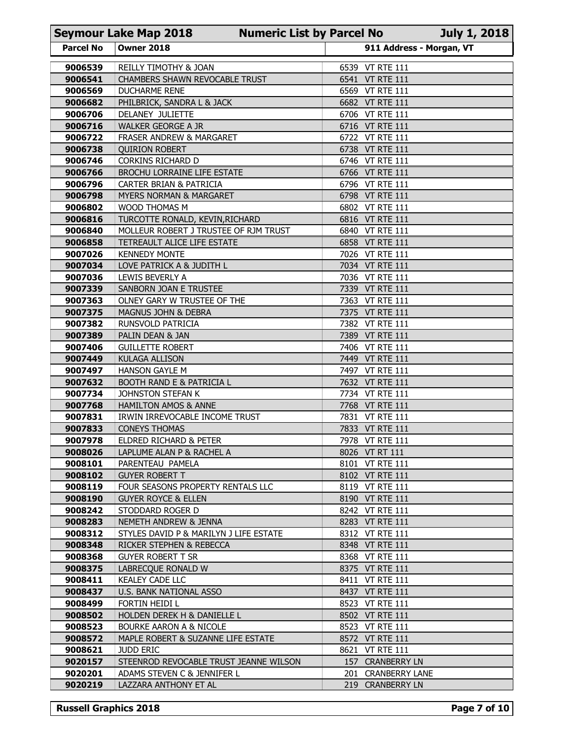|                    | <b>Seymour Lake Map 2018</b>                                         | <b>Numeric List by Parcel No</b> |                                    | <b>July 1, 2018</b> |
|--------------------|----------------------------------------------------------------------|----------------------------------|------------------------------------|---------------------|
| <b>Parcel No</b>   | <b>Owner 2018</b>                                                    |                                  | 911 Address - Morgan, VT           |                     |
| 9006539            | REILLY TIMOTHY & JOAN                                                |                                  | 6539 VT RTE 111                    |                     |
| 9006541            | CHAMBERS SHAWN REVOCABLE TRUST                                       |                                  | 6541 VT RTE 111                    |                     |
| 9006569<br>9006682 | DUCHARME RENE                                                        |                                  | 6569 VT RTE 111<br>6682 VT RTE 111 |                     |
| 9006706            | PHILBRICK, SANDRA L & JACK<br>DELANEY JULIETTE                       |                                  | 6706 VT RTE 111                    |                     |
| 9006716            | WALKER GEORGE A JR                                                   |                                  | 6716 VT RTE 111                    |                     |
| 9006722            | FRASER ANDREW & MARGARET                                             |                                  | 6722 VT RTE 111                    |                     |
| 9006738            | <b>QUIRION ROBERT</b>                                                |                                  | 6738 VT RTE 111                    |                     |
| 9006746<br>9006766 | CORKINS RICHARD D                                                    |                                  | 6746 VT RTE 111<br>6766 VT RTE 111 |                     |
| 9006796            | <b>BROCHU LORRAINE LIFE ESTATE</b><br>CARTER BRIAN & PATRICIA        |                                  | 6796 VT RTE 111                    |                     |
| 9006798            | MYERS NORMAN & MARGARET                                              |                                  | 6798 VT RTE 111                    |                     |
| 9006802            | WOOD THOMAS M                                                        |                                  | 6802 VT RTE 111                    |                     |
| 9006816            | TURCOTTE RONALD, KEVIN, RICHARD                                      |                                  | 6816 VT RTE 111                    |                     |
| 9006840<br>9006858 | MOLLEUR ROBERT J TRUSTEE OF RJM TRUST<br>TETREAULT ALICE LIFE ESTATE |                                  | 6840 VT RTE 111<br>6858 VT RTE 111 |                     |
| 9007026            | <b>KENNEDY MONTE</b>                                                 |                                  | 7026 VT RTE 111                    |                     |
| 9007034            | LOVE PATRICK A & JUDITH L                                            |                                  | 7034 VT RTE 111                    |                     |
| 9007036            | LEWIS BEVERLY A                                                      |                                  | 7036 VT RTE 111                    |                     |
| 9007339<br>9007363 | SANBORN JOAN E TRUSTEE<br>OLNEY GARY W TRUSTEE OF THE                |                                  | 7339 VT RTE 111<br>7363 VT RTE 111 |                     |
| 9007375            | <b>MAGNUS JOHN &amp; DEBRA</b>                                       |                                  | 7375 VT RTE 111                    |                     |
| 9007382            | RUNSVOLD PATRICIA                                                    |                                  | 7382 VT RTE 111                    |                     |
| 9007389            | PALIN DEAN & JAN                                                     |                                  | 7389 VT RTE 111                    |                     |
| 9007406<br>9007449 | <b>GUILLETTE ROBERT</b><br><b>KULAGA ALLISON</b>                     |                                  | 7406 VT RTE 111<br>7449 VT RTE 111 |                     |
| 9007497            | <b>HANSON GAYLE M</b>                                                |                                  | 7497 VT RTE 111                    |                     |
| 9007632            | BOOTH RAND E & PATRICIA L                                            |                                  | 7632 VT RTE 111                    |                     |
| 9007734            | JOHNSTON STEFAN K                                                    |                                  | 7734 VT RTE 111                    |                     |
| 9007768            | <b>HAMILTON AMOS &amp; ANNE</b>                                      |                                  | 7768 VT RTE 111                    |                     |
| 9007831<br>9007833 | IRWIN IRREVOCABLE INCOME TRUST<br><b>CONEYS THOMAS</b>               |                                  | 7831 VT RTE 111<br>7833 VT RTE 111 |                     |
| 9007978            | ELDRED RICHARD & PETER                                               |                                  | 7978 VT RTE 111                    |                     |
| 9008026            | LAPLUME ALAN P & RACHEL A                                            |                                  | 8026 VT RT 111                     |                     |
| 9008101            | PARENTEAU PAMELA                                                     |                                  | 8101 VT RTE 111                    |                     |
| 9008102            | <b>GUYER ROBERT T</b>                                                |                                  | 8102 VT RTE 111                    |                     |
| 9008119<br>9008190 | FOUR SEASONS PROPERTY RENTALS LLC<br><b>GUYER ROYCE &amp; ELLEN</b>  |                                  | 8119 VT RTE 111<br>8190 VT RTE 111 |                     |
| 9008242            | STODDARD ROGER D                                                     |                                  | 8242 VT RTE 111                    |                     |
| 9008283            | NEMETH ANDREW & JENNA                                                |                                  | 8283 VT RTE 111                    |                     |
| 9008312            | STYLES DAVID P & MARILYN J LIFE ESTATE                               |                                  | 8312 VT RTE 111                    |                     |
| 9008348<br>9008368 | RICKER STEPHEN & REBECCA<br><b>GUYER ROBERT T SR</b>                 |                                  | 8348 VT RTE 111<br>8368 VT RTE 111 |                     |
| 9008375            | LABRECQUE RONALD W                                                   |                                  | 8375 VT RTE 111                    |                     |
| 9008411            | <b>KEALEY CADE LLC</b>                                               |                                  | 8411 VT RTE 111                    |                     |
| 9008437            | U.S. BANK NATIONAL ASSO                                              |                                  | 8437 VT RTE 111                    |                     |
| 9008499            | FORTIN HEIDI L                                                       |                                  | 8523 VT RTE 111                    |                     |
| 9008502<br>9008523 | HOLDEN DEREK H & DANIELLE L<br><b>BOURKE AARON A &amp; NICOLE</b>    |                                  | 8502 VT RTE 111<br>8523 VT RTE 111 |                     |
| 9008572            | MAPLE ROBERT & SUZANNE LIFE ESTATE                                   |                                  | 8572 VT RTE 111                    |                     |
| 9008621            | <b>JUDD ERIC</b>                                                     |                                  | 8621 VT RTE 111                    |                     |
| 9020157            | STEENROD REVOCABLE TRUST JEANNE WILSON                               |                                  | 157 CRANBERRY LN                   |                     |
| 9020201            | ADAMS STEVEN C & JENNIFER L                                          | 201                              | <b>CRANBERRY LANE</b>              |                     |
| 9020219            | LAZZARA ANTHONY ET AL                                                |                                  | 219 CRANBERRY LN                   |                     |
|                    |                                                                      |                                  |                                    |                     |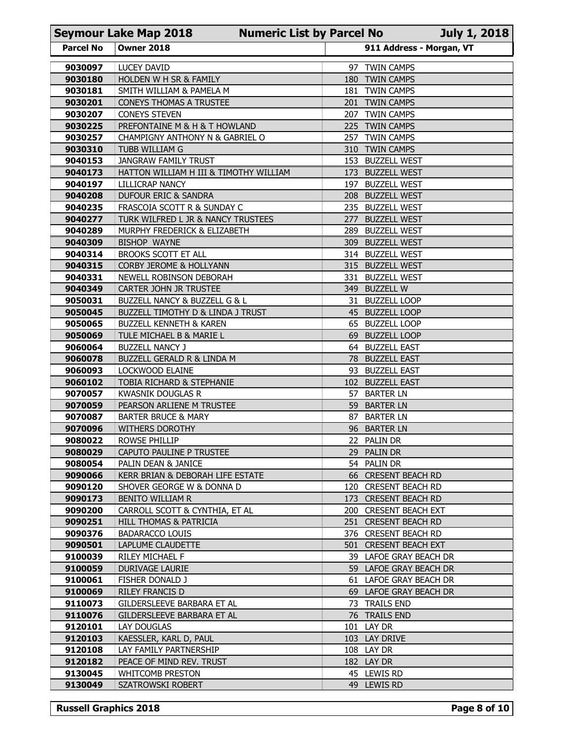|                    | <b>Seymour Lake Map 2018</b>                                      | <b>Numeric List by Parcel No</b> |            |                                                  | July 1, 2018 |
|--------------------|-------------------------------------------------------------------|----------------------------------|------------|--------------------------------------------------|--------------|
| <b>Parcel No</b>   | <b>Owner 2018</b>                                                 |                                  |            | 911 Address - Morgan, VT                         |              |
| 9030097            | <b>LUCEY DAVID</b>                                                |                                  |            | 97 TWIN CAMPS                                    |              |
| 9030180            | HOLDEN W H SR & FAMILY                                            |                                  | 180        | <b>TWIN CAMPS</b>                                |              |
| 9030181<br>9030201 | SMITH WILLIAM & PAMELA M<br><b>CONEYS THOMAS A TRUSTEE</b>        |                                  |            | 181 TWIN CAMPS<br>201 TWIN CAMPS                 |              |
| 9030207            | <b>CONEYS STEVEN</b>                                              |                                  | 207        | <b>TWIN CAMPS</b>                                |              |
| 9030225            | PREFONTAINE M & H & T HOWLAND                                     |                                  |            | 225 TWIN CAMPS                                   |              |
| 9030257            | CHAMPIGNY ANTHONY N & GABRIEL O                                   |                                  | 257        | <b>TWIN CAMPS</b>                                |              |
| 9030310<br>9040153 | TUBB WILLIAM G<br><b>JANGRAW FAMILY TRUST</b>                     |                                  |            | 310 TWIN CAMPS<br>153 BUZZELL WEST               |              |
| 9040173            | HATTON WILLIAM H III & TIMOTHY WILLIAM                            |                                  | 173        | <b>BUZZELL WEST</b>                              |              |
| 9040197            | LILLICRAP NANCY                                                   |                                  | 197        | <b>BUZZELL WEST</b>                              |              |
| 9040208            | DUFOUR ERIC & SANDRA                                              |                                  | <b>208</b> | <b>BUZZELL WEST</b>                              |              |
| 9040235<br>9040277 | FRASCOIA SCOTT R & SUNDAY C<br>TURK WILFRED L JR & NANCY TRUSTEES |                                  | 277        | 235 BUZZELL WEST<br><b>BUZZELL WEST</b>          |              |
| 9040289            | MURPHY FREDERICK & ELIZABETH                                      |                                  |            | 289 BUZZELL WEST                                 |              |
| 9040309            | <b>BISHOP WAYNE</b>                                               |                                  |            | 309 BUZZELL WEST                                 |              |
| 9040314            | BROOKS SCOTT ET ALL                                               |                                  |            | 314 BUZZELL WEST                                 |              |
| 9040315<br>9040331 | CORBY JEROME & HOLLYANN<br>NEWELL ROBINSON DEBORAH                |                                  |            | 315 BUZZELL WEST<br>331 BUZZELL WEST             |              |
| 9040349            | CARTER JOHN JR TRUSTEE                                            |                                  |            | 349 BUZZELL W                                    |              |
| 9050031            | BUZZELL NANCY & BUZZELL G & L                                     |                                  |            | 31 BUZZELL LOOP                                  |              |
| 9050045            | BUZZELL TIMOTHY D & LINDA J TRUST                                 |                                  |            | 45 BUZZELL LOOP                                  |              |
| 9050065<br>9050069 | <b>BUZZELL KENNETH &amp; KAREN</b><br>TULE MICHAEL B & MARIE L    |                                  |            | 65 BUZZELL LOOP<br>69 BUZZELL LOOP               |              |
| 9060064            | <b>BUZZELL NANCY J</b>                                            |                                  |            | 64 BUZZELL EAST                                  |              |
| 9060078            | BUZZELL GERALD R & LINDA M                                        |                                  |            | 78 BUZZELL EAST                                  |              |
| 9060093            | LOCKWOOD ELAINE                                                   |                                  |            | 93 BUZZELL EAST                                  |              |
| 9060102<br>9070057 | TOBIA RICHARD & STEPHANIE<br><b>KWASNIK DOUGLAS R</b>             |                                  |            | 102 BUZZELL EAST<br>57 BARTER LN                 |              |
| 9070059            | PEARSON ARLIENE M TRUSTEE                                         |                                  |            | 59 BARTER LN                                     |              |
| 9070087            | <b>BARTER BRUCE &amp; MARY</b>                                    |                                  |            | 87 BARTER LN                                     |              |
| 9070096            | WITHERS DOROTHY                                                   |                                  |            | 96 BARTER LN                                     |              |
| 9080022<br>9080029 | ROWSE PHILLIP<br>CAPUTO PAULINE P TRUSTEE                         |                                  |            | 22 PALIN DR<br>29 PALIN DR                       |              |
| 9080054            | PALIN DEAN & JANICE                                               |                                  |            | 54 PALIN DR                                      |              |
| 9090066            | KERR BRIAN & DEBORAH LIFE ESTATE                                  |                                  |            | 66 CRESENT BEACH RD                              |              |
| 9090120            | SHOVER GEORGE W & DONNA D                                         |                                  |            | 120 CRESENT BEACH RD                             |              |
| 9090173<br>9090200 | BENITO WILLIAM R<br>CARROLL SCOTT & CYNTHIA, ET AL                |                                  |            | 173 CRESENT BEACH RD<br>200 CRESENT BEACH EXT    |              |
| 9090251            | HILL THOMAS & PATRICIA                                            |                                  |            | 251 CRESENT BEACH RD                             |              |
| 9090376            | <b>BADARACCO LOUIS</b>                                            |                                  |            | 376 CRESENT BEACH RD                             |              |
| 9090501            | LAPLUME CLAUDETTE                                                 |                                  |            | 501 CRESENT BEACH EXT                            |              |
| 9100039<br>9100059 | RILEY MICHAEL F<br>DURIVAGE LAURIE                                |                                  |            | 39 LAFOE GRAY BEACH DR                           |              |
| 9100061            | FISHER DONALD J                                                   |                                  |            | 59 LAFOE GRAY BEACH DR<br>61 LAFOE GRAY BEACH DR |              |
| 9100069            | RILEY FRANCIS D                                                   |                                  |            | 69 LAFOE GRAY BEACH DR                           |              |
| 9110073            | GILDERSLEEVE BARBARA ET AL                                        |                                  |            | 73 TRAILS END                                    |              |
| 9110076            | GILDERSLEEVE BARBARA ET AL                                        |                                  |            | 76 TRAILS END                                    |              |
| 9120101<br>9120103 | LAY DOUGLAS<br>KAESSLER, KARL D, PAUL                             |                                  |            | 101 LAY DR<br>103 LAY DRIVE                      |              |
| 9120108            | LAY FAMILY PARTNERSHIP                                            |                                  |            | 108 LAY DR                                       |              |
| 9120182            | PEACE OF MIND REV. TRUST                                          |                                  |            | 182 LAY DR                                       |              |
| 9130045            | <b>WHITCOMB PRESTON</b>                                           |                                  |            | 45 LEWIS RD                                      |              |
| 9130049            | SZATROWSKI ROBERT                                                 |                                  |            | 49 LEWIS RD                                      |              |
|                    | <b>Russell Graphics 2018</b>                                      |                                  |            |                                                  | Page 8 of 10 |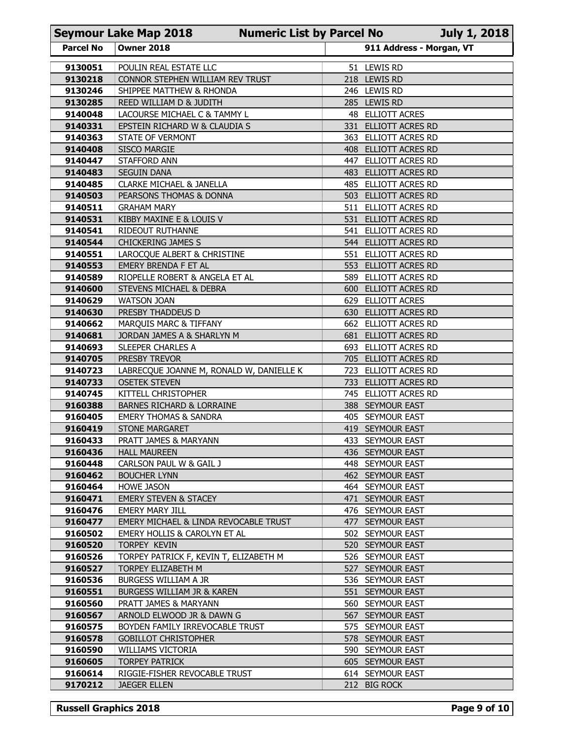|                    | <b>Seymour Lake Map 2018</b>                                    | <b>Numeric List by Parcel No</b> |                                                 | <b>July 1, 2018</b> |
|--------------------|-----------------------------------------------------------------|----------------------------------|-------------------------------------------------|---------------------|
| <b>Parcel No</b>   | <b>Owner 2018</b>                                               |                                  | 911 Address - Morgan, VT                        |                     |
| 9130051            | POULIN REAL ESTATE LLC                                          |                                  | 51 LEWIS RD                                     |                     |
| 9130218            | CONNOR STEPHEN WILLIAM REV TRUST                                |                                  | 218 LEWIS RD                                    |                     |
| 9130246<br>9130285 | SHIPPEE MATTHEW & RHONDA<br>REED WILLIAM D & JUDITH             |                                  | 246 LEWIS RD<br>285 LEWIS RD                    |                     |
| 9140048            | LACOURSE MICHAEL C & TAMMY L                                    |                                  | 48 ELLIOTT ACRES                                |                     |
| 9140331            | EPSTEIN RICHARD W & CLAUDIA S                                   |                                  | 331 ELLIOTT ACRES RD                            |                     |
| 9140363            | STATE OF VERMONT                                                |                                  | 363 ELLIOTT ACRES RD                            |                     |
| 9140408<br>9140447 | <b>SISCO MARGIE</b><br><b>STAFFORD ANN</b>                      | 408                              | <b>ELLIOTT ACRES RD</b><br>447 ELLIOTT ACRES RD |                     |
| 9140483            | <b>SEGUIN DANA</b>                                              | 483.                             | ELLIOTT ACRES RD                                |                     |
| 9140485            | <b>CLARKE MICHAEL &amp; JANELLA</b>                             |                                  | 485 ELLIOTT ACRES RD                            |                     |
| 9140503            | PEARSONS THOMAS & DONNA                                         | 503                              | ELLIOTT ACRES RD                                |                     |
| 9140511<br>9140531 | <b>GRAHAM MARY</b><br>KIBBY MAXINE E & LOUIS V                  | 511<br>531                       | ELLIOTT ACRES RD<br>ELLIOTT ACRES RD            |                     |
| 9140541            | RIDEOUT RUTHANNE                                                |                                  | 541 ELLIOTT ACRES RD                            |                     |
| 9140544            | CHICKERING JAMES S                                              |                                  | 544 ELLIOTT ACRES RD                            |                     |
| 9140551            | LAROCQUE ALBERT & CHRISTINE                                     |                                  | 551 ELLIOTT ACRES RD                            |                     |
| 9140553            | EMERY BRENDA F ET AL<br>RIOPELLE ROBERT & ANGELA ET AL          |                                  | 553 ELLIOTT ACRES RD<br>589 ELLIOTT ACRES RD    |                     |
| 9140589<br>9140600 | STEVENS MICHAEL & DEBRA                                         |                                  | 600 ELLIOTT ACRES RD                            |                     |
| 9140629            | WATSON JOAN                                                     |                                  | 629 ELLIOTT ACRES                               |                     |
| 9140630            | PRESBY THADDEUS D                                               |                                  | 630 ELLIOTT ACRES RD                            |                     |
| 9140662<br>9140681 | MARQUIS MARC & TIFFANY<br>JORDAN JAMES A & SHARLYN M            |                                  | 662 ELLIOTT ACRES RD<br>681 ELLIOTT ACRES RD    |                     |
| 9140693            | SLEEPER CHARLES A                                               |                                  | 693 ELLIOTT ACRES RD                            |                     |
| 9140705            | PRESBY TREVOR                                                   |                                  | 705 ELLIOTT ACRES RD                            |                     |
| 9140723            | LABRECQUE JOANNE M, RONALD W, DANIELLE K                        |                                  | 723 ELLIOTT ACRES RD                            |                     |
| 9140733            | <b>OSETEK STEVEN</b>                                            |                                  | 733 ELLIOTT ACRES RD                            |                     |
| 9140745<br>9160388 | KITTELL CHRISTOPHER<br><b>BARNES RICHARD &amp; LORRAINE</b>     |                                  | 745 ELLIOTT ACRES RD<br>388 SEYMOUR EAST        |                     |
| 9160405            | <b>EMERY THOMAS &amp; SANDRA</b>                                |                                  | 405 SEYMOUR EAST                                |                     |
| 9160419            | <b>STONE MARGARET</b>                                           |                                  | 419 SEYMOUR EAST                                |                     |
| 9160433            | PRATT JAMES & MARYANN                                           |                                  | 433 SEYMOUR EAST                                |                     |
| 9160436<br>9160448 | <b>HALL MAUREEN</b><br>CARLSON PAUL W & GAIL J                  |                                  | 436 SEYMOUR EAST<br>448 SEYMOUR EAST            |                     |
| 9160462            | <b>BOUCHER LYNN</b>                                             |                                  | 462 SEYMOUR EAST                                |                     |
| 9160464            | <b>HOWE JASON</b>                                               |                                  | 464 SEYMOUR EAST                                |                     |
| 9160471            | <b>EMERY STEVEN &amp; STACEY</b>                                |                                  | 471 SEYMOUR EAST                                |                     |
| 9160476<br>9160477 | <b>EMERY MARY JILL</b><br>EMERY MICHAEL & LINDA REVOCABLE TRUST |                                  | 476 SEYMOUR EAST<br>477 SEYMOUR EAST            |                     |
| 9160502            | EMERY HOLLIS & CAROLYN ET AL                                    |                                  | 502 SEYMOUR EAST                                |                     |
| 9160520            | TORPEY KEVIN                                                    |                                  | 520 SEYMOUR EAST                                |                     |
| 9160526            | TORPEY PATRICK F, KEVIN T, ELIZABETH M                          |                                  | 526 SEYMOUR EAST                                |                     |
| 9160527<br>9160536 | TORPEY ELIZABETH M<br>BURGESS WILLIAM A JR                      |                                  | 527 SEYMOUR EAST<br>536 SEYMOUR EAST            |                     |
| 9160551            | BURGESS WILLIAM JR & KAREN                                      |                                  | 551 SEYMOUR EAST                                |                     |
| 9160560            | PRATT JAMES & MARYANN                                           |                                  | 560 SEYMOUR EAST                                |                     |
| 9160567            | ARNOLD ELWOOD JR & DAWN G                                       |                                  | 567 SEYMOUR EAST                                |                     |
| 9160575<br>9160578 | BOYDEN FAMILY IRREVOCABLE TRUST                                 |                                  | 575 SEYMOUR EAST                                |                     |
| 9160590            | <b>GOBILLOT CHRISTOPHER</b><br><b>WILLIAMS VICTORIA</b>         |                                  | 578 SEYMOUR EAST<br>590 SEYMOUR EAST            |                     |
| 9160605            | <b>TORPEY PATRICK</b>                                           |                                  | 605 SEYMOUR EAST                                |                     |
| 9160614            | RIGGIE-FISHER REVOCABLE TRUST                                   |                                  | 614 SEYMOUR EAST                                |                     |
| 9170212            | <b>JAEGER ELLEN</b>                                             |                                  | 212 BIG ROCK                                    |                     |
|                    |                                                                 |                                  |                                                 |                     |